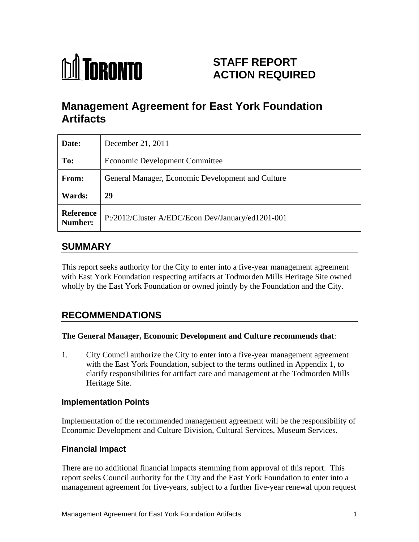

# **STAFF REPORT ACTION REQUIRED**

# **Management Agreement for East York Foundation Artifacts**

| Date:         | December 21, 2011                                           |
|---------------|-------------------------------------------------------------|
| To:           | Economic Development Committee                              |
| From:         | General Manager, Economic Development and Culture           |
| <b>Wards:</b> | 29                                                          |
|               | Reference P:/2012/Cluster A/EDC/Econ Dev/January/ed1201-001 |

## **SUMMARY**

This report seeks authority for the City to enter into a five-year management agreement with East York Foundation respecting artifacts at Todmorden Mills Heritage Site owned wholly by the East York Foundation or owned jointly by the Foundation and the City.

## **RECOMMENDATIONS**

#### **The General Manager, Economic Development and Culture recommends that**:

1. City Council authorize the City to enter into a five-year management agreement with the East York Foundation, subject to the terms outlined in Appendix 1, to clarify responsibilities for artifact care and management at the Todmorden Mills Heritage Site.

#### **Implementation Points**

Implementation of the recommended management agreement will be the responsibility of Economic Development and Culture Division, Cultural Services, Museum Services.

#### **Financial Impact**

There are no additional financial impacts stemming from approval of this report. This report seeks Council authority for the City and the East York Foundation to enter into a management agreement for five-years, subject to a further five-year renewal upon request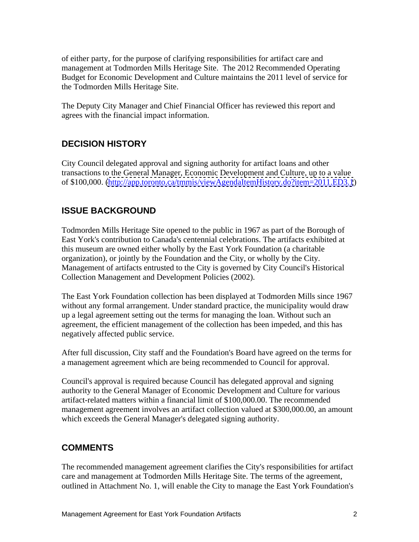of either party, for the purpose of clarifying responsibilities for artifact care and management at Todmorden Mills Heritage Site. The 2012 Recommended Operating Budget for Economic Development and Culture maintains the 2011 level of service for the Todmorden Mills Heritage Site.

The Deputy City Manager and Chief Financial Officer has reviewed this report and agrees with the financial impact information.

### **DECISION HISTORY**

City Council delegated approval and signing authority for artifact loans and other transactions to the General Manager, Economic Development and Culture, up to a value of \$100,000. [\(http://app.toronto.ca/tmmis/viewAgendaItemHistory.do?item=2011.ED3.1](http://app.toronto.ca/tmmis/viewAgendaItemHistory.do?item=2011.ED3.1))

### **ISSUE BACKGROUND**

Todmorden Mills Heritage Site opened to the public in 1967 as part of the Borough of East York's contribution to Canada's centennial celebrations. The artifacts exhibited at this museum are owned either wholly by the East York Foundation (a charitable organization), or jointly by the Foundation and the City, or wholly by the City. Management of artifacts entrusted to the City is governed by City Council's Historical Collection Management and Development Policies (2002).

The East York Foundation collection has been displayed at Todmorden Mills since 1967 without any formal arrangement. Under standard practice, the municipality would draw up a legal agreement setting out the terms for managing the loan. Without such an agreement, the efficient management of the collection has been impeded, and this has negatively affected public service.

After full discussion, City staff and the Foundation's Board have agreed on the terms for a management agreement which are being recommended to Council for approval.

Council's approval is required because Council has delegated approval and signing authority to the General Manager of Economic Development and Culture for various artifact-related matters within a financial limit of \$100,000.00. The recommended management agreement involves an artifact collection valued at \$300,000.00, an amount which exceeds the General Manager's delegated signing authority.

### **COMMENTS**

The recommended management agreement clarifies the City's responsibilities for artifact care and management at Todmorden Mills Heritage Site. The terms of the agreement, outlined in Attachment No. 1, will enable the City to manage the East York Foundation's